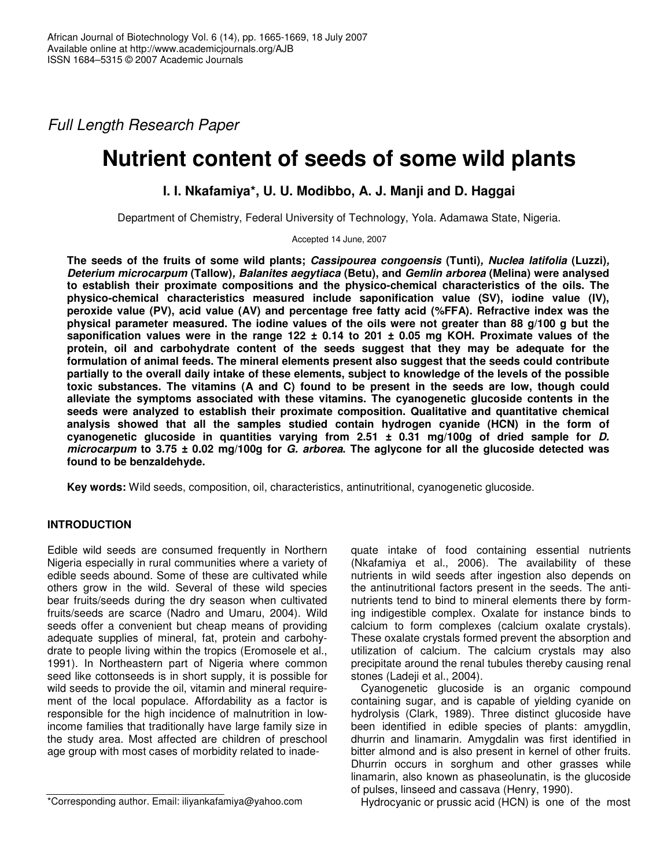*Full Length Research Paper*

# **Nutrient content of seeds of some wild plants**

## **I. I. Nkafamiya\*, U. U. Modibbo, A. J. Manji and D. Haggai**

Department of Chemistry, Federal University of Technology, Yola. Adamawa State, Nigeria.

Accepted 14 June, 2007

**The seeds of the fruits of some wild plants;** *Cassipourea congoensis* **(Tunti)***, Nuclea latifolia* **(Luzzi)***, Deterium microcarpum* **(Tallow)***, Balanites aegytiaca* **(Betu), and** *Gemlin arborea* **(Melina) were analysed to establish their proximate compositions and the physico-chemical characteristics of the oils. The physico-chemical characteristics measured include saponification value (SV), iodine value (IV), peroxide value (PV), acid value (AV) and percentage free fatty acid (%FFA). Refractive index was the** physical parameter measured. The iodine values of the oils were not greater than 88 g/100 g but the saponification values were in the range 122  $\pm$  0.14 to 201  $\pm$  0.05 mg KOH. Proximate values of the **protein, oil and carbohydrate content of the seeds suggest that they may be adequate for the formulation of animal feeds. The mineral elements present also suggest that the seeds could contribute** partially to the overall daily intake of these elements, subject to knowledge of the levels of the possible **toxic substances. The vitamins (A and C) found to be present in the seeds are low, though could alleviate the symptoms associated with these vitamins. The cyanogenetic glucoside contents in the seeds were analyzed to establish their proximate composition. Qualitative and quantitative chemical analysis showed that all the samples studied contain hydrogen cyanide (HCN) in the form of cyanogenetic glucoside in quantities varying from 2.51 ± 0.31 mg/100g of dried sample for** *D. microcarpum* **to 3.75 ± 0.02 mg/100g for** *G. arborea***. The aglycone for all the glucoside detected was found to be benzaldehyde.**

**Key words:** Wild seeds, composition, oil, characteristics, antinutritional, cyanogenetic glucoside.

### **INTRODUCTION**

Edible wild seeds are consumed frequently in Northern Nigeria especially in rural communities where a variety of edible seeds abound. Some of these are cultivated while others grow in the wild. Several of these wild species bear fruits/seeds during the dry season when cultivated fruits/seeds are scarce (Nadro and Umaru, 2004). Wild seeds offer a convenient but cheap means of providing adequate supplies of mineral, fat, protein and carbohydrate to people living within the tropics (Eromosele et al., 1991). In Northeastern part of Nigeria where common seed like cottonseeds is in short supply, it is possible for wild seeds to provide the oil, vitamin and mineral requirement of the local populace. Affordability as a factor is responsible for the high incidence of malnutrition in lowincome families that traditionally have large family size in the study area. Most affected are children of preschool age group with most cases of morbidity related to inade-

Cyanogenetic glucoside is an organic compound containing sugar, and is capable of yielding cyanide on hydrolysis (Clark, 1989). Three distinct glucoside have been identified in edible species of plants: amygdlin, dhurrin and linamarin. Amygdalin was first identified in bitter almond and is also present in kernel of other fruits. Dhurrin occurs in sorghum and other grasses while linamarin, also known as phaseolunatin, is the glucoside of pulses, linseed and cassava (Henry, 1990).

Hydrocyanic or prussic acid (HCN) is one of the most

quate intake of food containing essential nutrients (Nkafamiya et al., 2006). The availability of these nutrients in wild seeds after ingestion also depends on the antinutritional factors present in the seeds. The antinutrients tend to bind to mineral elements there by forming indigestible complex. Oxalate for instance binds to calcium to form complexes (calcium oxalate crystals). These oxalate crystals formed prevent the absorption and utilization of calcium. The calcium crystals may also precipitate around the renal tubules thereby causing renal stones (Ladeii et al., 2004).

<sup>\*</sup>Corresponding author. Email: iliyankafamiya@yahoo.com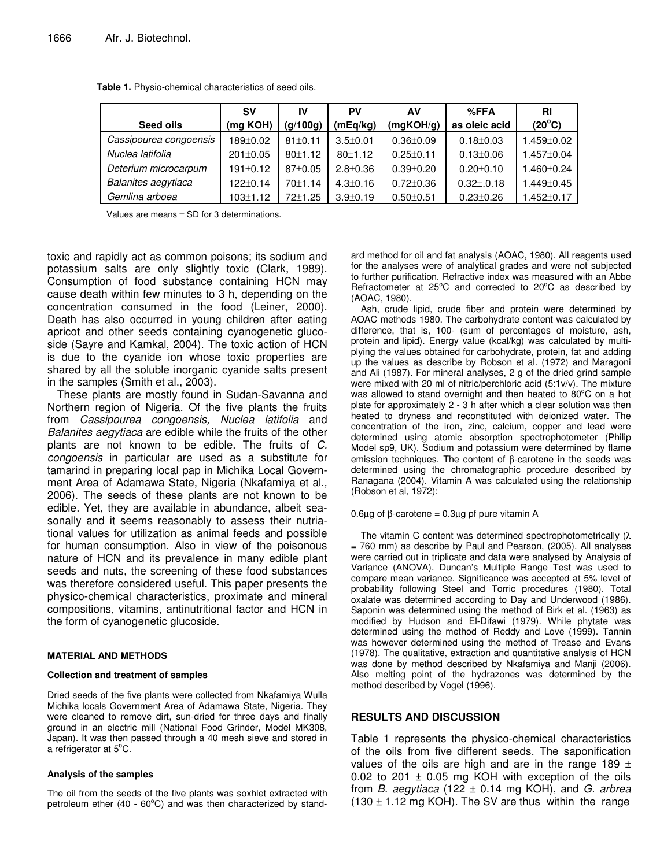|                        | <b>SV</b>      | IV            | PV             | AV              | $%$ FFA         | RI               |
|------------------------|----------------|---------------|----------------|-----------------|-----------------|------------------|
| Seed oils              | (mg KOH)       | (g/100g)      | (mEq/kg)       | (mqKOH/q)       | as oleic acid   | $(20^{\circ}C)$  |
| Cassipourea congoensis | $189 + 0.02$   | $81 \pm 0.11$ | $3.5 \pm 0.01$ | $0.36 \pm 0.09$ | $0.18 \pm 0.03$ | $1.459 \pm 0.02$ |
| Nuclea latifolia       | $201 \pm 0.05$ | 80±1.12       | 80±1.12        | $0.25 \pm 0.11$ | $0.13 \pm 0.06$ | $1.457 \pm 0.04$ |
| Deterium microcarpum   | $191 \pm 0.12$ | $87+0.05$     | $2.8 + 0.36$   | $0.39 + 0.20$   | $0.20 \pm 0.10$ | 1.460±0.24       |
| Balanites aegytiaca    | $122 + 0.14$   | 70±1.14       | $4.3 \pm 0.16$ | $0.72 \pm 0.36$ | $0.32 \pm 0.18$ | $1.449 \pm 0.45$ |
| Gemlina arboea         | $103 \pm 1.12$ | 72±1.25       | $3.9 \pm 0.19$ | $0.50 \pm 0.51$ | $0.23 \pm 0.26$ | $1.452 \pm 0.17$ |

**Table 1.** Physio-chemical characteristics of seed oils.

Values are means  $\pm$  SD for 3 determinations.

toxic and rapidly act as common poisons; its sodium and potassium salts are only slightly toxic (Clark, 1989). Consumption of food substance containing HCN may cause death within few minutes to 3 h, depending on the concentration consumed in the food (Leiner, 2000). Death has also occurred in young children after eating apricot and other seeds containing cyanogenetic glucoside (Sayre and Kamkal, 2004). The toxic action of HCN is due to the cyanide ion whose toxic properties are shared by all the soluble inorganic cyanide salts present in the samples (Smith et al., 2003).

These plants are mostly found in Sudan-Savanna and Northern region of Nigeria. Of the five plants the fruits from *Cassipourea congoensis, Nuclea latifolia* and *Balanites aegytiaca* are edible while the fruits of the other plants are not known to be edible. The fruits of *C. congoensis* in particular are used as a substitute for tamarind in preparing local pap in Michika Local Government Area of Adamawa State, Nigeria (Nkafamiya et al.*,* 2006). The seeds of these plants are not known to be edible. Yet, they are available in abundance, albeit seasonally and it seems reasonably to assess their nutriational values for utilization as animal feeds and possible for human consumption. Also in view of the poisonous nature of HCN and its prevalence in many edible plant seeds and nuts, the screening of these food substances was therefore considered useful. This paper presents the physico-chemical characteristics, proximate and mineral compositions, vitamins, antinutritional factor and HCN in the form of cyanogenetic glucoside.

#### **MATERIAL AND METHODS**

#### **Collection and treatment of samples**

Dried seeds of the five plants were collected from Nkafamiya Wulla Michika locals Government Area of Adamawa State, Nigeria. They were cleaned to remove dirt, sun-dried for three days and finally ground in an electric mill (National Food Grinder, Model MK308, Japan). It was then passed through a 40 mesh sieve and stored in a refrigerator at 5°C.

#### **Analysis of the samples**

The oil from the seeds of the five plants was soxhlet extracted with petroleum ether  $(40 - 60^{\circ}C)$  and was then characterized by standard method for oil and fat analysis (AOAC, 1980). All reagents used for the analyses were of analytical grades and were not subjected to further purification. Refractive index was measured with an Abbe Refractometer at  $25^{\circ}$ C and corrected to  $20^{\circ}$ C as described by (AOAC, 1980).

Ash, crude lipid, crude fiber and protein were determined by AOAC methods 1980. The carbohydrate content was calculated by difference, that is, 100- (sum of percentages of moisture, ash, protein and lipid). Energy value (kcal/kg) was calculated by multiplying the values obtained for carbohydrate, protein, fat and adding up the values as describe by Robson et al. (1972) and Maragoni and Ali (1987). For mineral analyses, 2 g of the dried grind sample were mixed with 20 ml of nitric/perchloric acid (5:1v/v). The mixture was allowed to stand overnight and then heated to  $80^{\circ}$ C on a hot plate for approximately 2 - 3 h after which a clear solution was then heated to dryness and reconstituted with deionized water. The concentration of the iron, zinc, calcium, copper and lead were determined using atomic absorption spectrophotometer (Philip Model sp9, UK). Sodium and potassium were determined by flame emission techniques. The content of β-carotene in the seeds was determined using the chromatographic procedure described by Ranagana (2004). Vitamin A was calculated using the relationship (Robson et al*,* 1972):

0.6µg of β-carotene = 0.3µg pf pure vitamin A

The vitamin C content was determined spectrophotometrically (λ = 760 mm) as describe by Paul and Pearson, (2005). All analyses were carried out in triplicate and data were analysed by Analysis of Variance (ANOVA). Duncan's Multiple Range Test was used to compare mean variance. Significance was accepted at 5% level of probability following Steel and Torric procedures (1980). Total oxalate was determined according to Day and Underwood (1986). Saponin was determined using the method of Birk et al. (1963) as modified by Hudson and El-Difawi (1979). While phytate was determined using the method of Reddy and Love (1999). Tannin was however determined using the method of Trease and Evans (1978). The qualitative, extraction and quantitative analysis of HCN was done by method described by Nkafamiya and Manji (2006). Also melting point of the hydrazones was determined by the method described by Vogel (1996).

#### **RESULTS AND DISCUSSION**

Table 1 represents the physico-chemical characteristics of the oils from five different seeds. The saponification values of the oils are high and are in the range 189  $\pm$ 0.02 to 201  $\pm$  0.05 mg KOH with exception of the oils from *B. aegytiaca* (122 ± 0.14 mg KOH), and *G. arbrea*  $(130 \pm 1.12 \text{ mg KOH})$ . The SV are thus within the range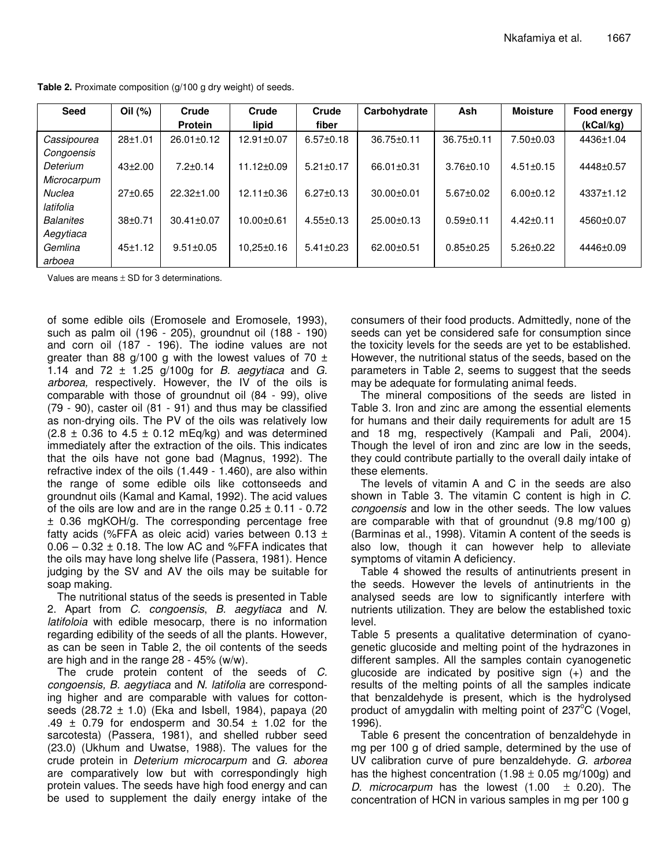| <b>Seed</b>      | Oil (%)       | Crude            | Crude            | Crude           | Carbohydrate     | Ash             | <b>Moisture</b> | Food energy |
|------------------|---------------|------------------|------------------|-----------------|------------------|-----------------|-----------------|-------------|
|                  |               | <b>Protein</b>   | lipid            | fiber           |                  |                 |                 | (kCal/kg)   |
| Cassipourea      | $28 + 1.01$   | $26.01 \pm 0.12$ | 12.91±0.07       | $6.57 \pm 0.18$ | $36.75 \pm 0.11$ | 36.75±0.11      | $7.50 \pm 0.03$ | 4436±1.04   |
| Congoensis       |               |                  |                  |                 |                  |                 |                 |             |
| Deterium         | $43+2.00$     | $7.2 \pm 0.14$   | $11.12 \pm 0.09$ | $5.21 \pm 0.17$ | 66.01±0.31       | $3.76 \pm 0.10$ | $4.51 \pm 0.15$ | 4448±0.57   |
| Microcarpum      |               |                  |                  |                 |                  |                 |                 |             |
| <b>Nuclea</b>    | $27 \pm 0.65$ | 22.32±1.00       | $12.11 \pm 0.36$ | $6.27 \pm 0.13$ | $30.00 \pm 0.01$ | $5.67 \pm 0.02$ | $6.00 + 0.12$   | 4337±1.12   |
| latifolia        |               |                  |                  |                 |                  |                 |                 |             |
| <b>Balanites</b> | $38+0.71$     | $30.41 \pm 0.07$ | $10.00 \pm 0.61$ | $4.55 \pm 0.13$ | $25.00 \pm 0.13$ | $0.59 + 0.11$   | $4.42 \pm 0.11$ | 4560±0.07   |
| Aegytiaca        |               |                  |                  |                 |                  |                 |                 |             |
| Gemlina          | 45±1.12       | $9.51 \pm 0.05$  | $10,25\pm0.16$   | $5.41 \pm 0.23$ | $62.00+0.51$     | $0.85 \pm 0.25$ | $5.26 \pm 0.22$ | 4446±0.09   |
| arboea           |               |                  |                  |                 |                  |                 |                 |             |

**Table 2.** Proximate composition (g/100 g dry weight) of seeds.

Values are means  $\pm$  SD for 3 determinations.

of some edible oils (Eromosele and Eromosele, 1993), such as palm oil (196 - 205), groundnut oil (188 - 190) and corn oil (187 - 196). The iodine values are not greater than 88 g/100 g with the lowest values of 70  $\pm$ 1.14 and 72 ± 1.25 g/100g for *B. aegytiaca* and *G. arborea,* respectively. However, the IV of the oils is comparable with those of groundnut oil (84 - 99), olive (79 - 90), caster oil (81 - 91) and thus may be classified as non-drying oils. The PV of the oils was relatively low  $(2.8 \pm 0.36$  to  $4.5 \pm 0.12$  mEq/kg) and was determined immediately after the extraction of the oils. This indicates that the oils have not gone bad (Magnus, 1992). The refractive index of the oils (1.449 - 1.460), are also within the range of some edible oils like cottonseeds and groundnut oils (Kamal and Kamal, 1992). The acid values of the oils are low and are in the range  $0.25 \pm 0.11 - 0.72$ ± 0.36 mgKOH/g. The corresponding percentage free fatty acids (%FFA as oleic acid) varies between  $0.13 \pm 1$  $0.06 - 0.32 \pm 0.18$ . The low AC and %FFA indicates that the oils may have long shelve life (Passera, 1981). Hence judging by the SV and AV the oils may be suitable for soap making.

The nutritional status of the seeds is presented in Table 2. Apart from *C. congoensis*, *B. aegytiaca* and *N. latifoloia* with edible mesocarp, there is no information regarding edibility of the seeds of all the plants. However, as can be seen in Table 2, the oil contents of the seeds are high and in the range 28 - 45% (w/w).

The crude protein content of the seeds of *C. congoensis, B. aegytiaca* and *N. latifolia* are corresponding higher and are comparable with values for cottonseeds  $(28.72 \pm 1.0)$  (Eka and Isbell, 1984), papaya  $(20)$ .49  $\pm$  0.79 for endosperm and 30.54  $\pm$  1.02 for the sarcotesta) (Passera, 1981), and shelled rubber seed (23.0) (Ukhum and Uwatse, 1988). The values for the crude protein in *Deterium microcarpum* and *G. aborea* are comparatively low but with correspondingly high protein values. The seeds have high food energy and can be used to supplement the daily energy intake of the consumers of their food products. Admittedly, none of the seeds can yet be considered safe for consumption since the toxicity levels for the seeds are yet to be established. However, the nutritional status of the seeds, based on the parameters in Table 2, seems to suggest that the seeds may be adequate for formulating animal feeds.

The mineral compositions of the seeds are listed in Table 3. Iron and zinc are among the essential elements for humans and their daily requirements for adult are 15 and 18 mg, respectively (Kampali and Pali, 2004). Though the level of iron and zinc are low in the seeds, they could contribute partially to the overall daily intake of these elements.

The levels of vitamin A and C in the seeds are also shown in Table 3. The vitamin C content is high in *C. congoensis* and low in the other seeds. The low values are comparable with that of groundnut (9.8 mg/100 g) (Barminas et al., 1998). Vitamin A content of the seeds is also low, though it can however help to alleviate symptoms of vitamin A deficiency.

Table 4 showed the results of antinutrients present in the seeds. However the levels of antinutrients in the analysed seeds are low to significantly interfere with nutrients utilization. They are below the established toxic level.

Table 5 presents a qualitative determination of cyanogenetic glucoside and melting point of the hydrazones in different samples. All the samples contain cyanogenetic glucoside are indicated by positive sign (+) and the results of the melting points of all the samples indicate that benzaldehyde is present, which is the hydrolysed product of amygdalin with melting point of 237°C (Vogel, 1996).

Table 6 present the concentration of benzaldehyde in mg per 100 g of dried sample, determined by the use of UV calibration curve of pure benzaldehyde. *G. arborea* has the highest concentration (1.98  $\pm$  0.05 mg/100g) and *D. microcarpum* has the lowest (1.00 ± 0.20). The concentration of HCN in various samples in mg per 100 g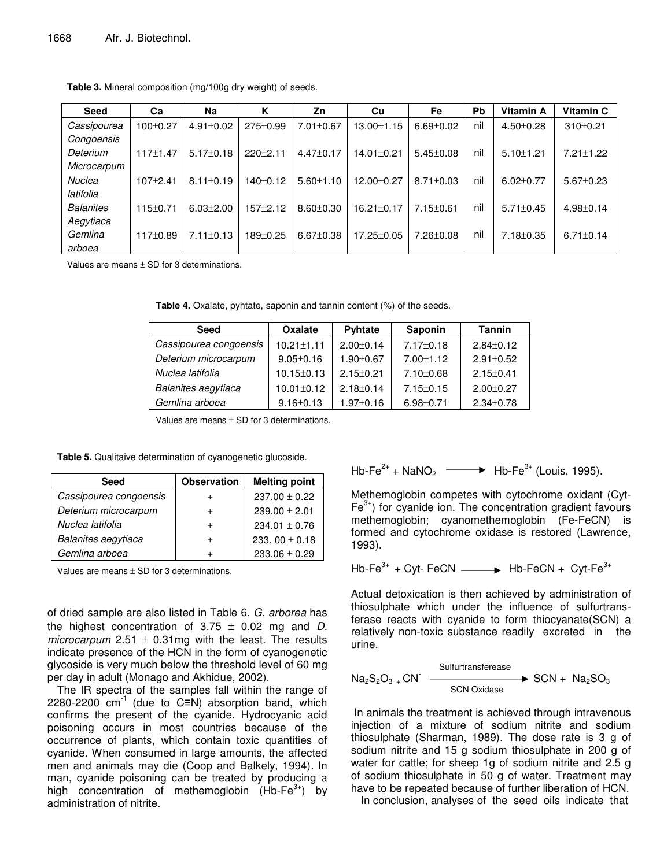| <b>Seed</b>      | Ca             | Na              | κ          | Zn              | Cu               | <b>Fe</b>       | Pb  | Vitamin A       | Vitamin C       |
|------------------|----------------|-----------------|------------|-----------------|------------------|-----------------|-----|-----------------|-----------------|
| Cassipourea      | $100+0.27$     | $4.91 \pm 0.02$ | 275±0.99   | 7.01±0.67       | 13.00±1.15       | $6.69 \pm 0.02$ | nil | $4.50 \pm 0.28$ | 310±0.21        |
| Congoensis       |                |                 |            |                 |                  |                 |     |                 |                 |
| Deterium         | 117±1.47       | $5.17 \pm 0.18$ | $220+2.11$ | $4.47 \pm 0.17$ | 14.01±0.21       | $5.45 \pm 0.08$ | nil | $5.10 \pm 1.21$ | $7.21 \pm 1.22$ |
| Microcarpum      |                |                 |            |                 |                  |                 |     |                 |                 |
| Nuclea           | $107+2.41$     | $8.11 \pm 0.19$ | 140±0.12   | $5.60 \pm 1.10$ | 12.00±0.27       | $8.71 \pm 0.03$ | nil | $6.02 \pm 0.77$ | $5.67 \pm 0.23$ |
| latifolia        |                |                 |            |                 |                  |                 |     |                 |                 |
| <b>Balanites</b> | $115 \pm 0.71$ | $6.03 \pm 2.00$ | 157±2.12   | $8.60 \pm 0.30$ | $16.21 \pm 0.17$ | $7.15 \pm 0.61$ | nil | $5.71 \pm 0.45$ | $4.98 \pm 0.14$ |
| Aegytiaca        |                |                 |            |                 |                  |                 |     |                 |                 |
| Gemlina          | 117±0.89       | $7.11 \pm 0.13$ | 189±0.25   | $6.67 \pm 0.38$ | 17.25±0.05       | $7.26 \pm 0.08$ | nil | $7.18 \pm 0.35$ | $6.71 \pm 0.14$ |
| arboea           |                |                 |            |                 |                  |                 |     |                 |                 |

**Table 3.** Mineral composition (mg/100g dry weight) of seeds.

Values are means  $\pm$  SD for 3 determinations.

**Table 4.** Oxalate, pyhtate, saponin and tannin content (%) of the seeds.

| <b>Seed</b>            | <b>Oxalate</b>   | <b>Pyhtate</b>  | Saponin         | <b>Tannin</b>   |
|------------------------|------------------|-----------------|-----------------|-----------------|
| Cassipourea congoensis | $10.21 \pm 1.11$ | $2.00 \pm 0.14$ | 7.17±0.18       | $2.84 \pm 0.12$ |
| Deterium microcarpum   | $9.05 \pm 0.16$  | $1.90 \pm 0.67$ | $7.00 \pm 1.12$ | $2.91 \pm 0.52$ |
| Nuclea latifolia       | 10.15±0.13       | $2.15 \pm 0.21$ | $7.10 \pm 0.68$ | $2.15 \pm 0.41$ |
| Balanites aegytiaca    | $10.01 \pm 0.12$ | $2.18 \pm 0.14$ | $7.15 \pm 0.15$ | $2.00 \pm 0.27$ |
| Gemlina arboea         | $9.16 \pm 0.13$  | $1.97 \pm 0.16$ | $6.98 \pm 0.71$ | $2.34 \pm 0.78$ |

Values are means  $\pm$  SD for 3 determinations.

**Table 5.** Qualitaive determination of cyanogenetic glucoside.

| Seed                   | <b>Observation</b> | <b>Melting point</b> |
|------------------------|--------------------|----------------------|
| Cassipourea congoensis |                    | $237.00 \pm 0.22$    |
| Deterium microcarpum   |                    | $239.00 \pm 2.01$    |
| Nuclea latifolia       |                    | $234.01 \pm 0.76$    |
| Balanites aegytiaca    |                    | 233, 00 $\pm$ 0.18   |
| Gemlina arboea         |                    | $233.06 \pm 0.29$    |

Values are means  $\pm$  SD for 3 determinations.

of dried sample are also listed in Table 6. *G. arborea* has the highest concentration of  $3.75 \pm 0.02$  mg and *D*. *microcarpum* 2.51  $\pm$  0.31mg with the least. The results indicate presence of the HCN in the form of cyanogenetic glycoside is very much below the threshold level of 60 mg per day in adult (Monago and Akhidue, 2002).

The IR spectra of the samples fall within the range of 2280-2200  $cm^{-1}$  (due to C=N) absorption band, which confirms the present of the cyanide. Hydrocyanic acid poisoning occurs in most countries because of the occurrence of plants, which contain toxic quantities of cyanide. When consumed in large amounts, the affected men and animals may die (Coop and Balkely, 1994). In man, cyanide poisoning can be treated by producing a high concentration of methemoglobin (Hb-Fe<sup>3+</sup>) by administration of nitrite.

$$
Hb\text{-Fe}^{2+} + \text{NaNO}_2 \longrightarrow Hb\text{-Fe}^{3+} \text{ (Louis, 1995)}.
$$

Methemoglobin competes with cytochrome oxidant (Cyt-Fe<sup>3+</sup>) for cyanide ion. The concentration gradient favours methemoglobin; cyanomethemoglobin (Fe-FeCN) is formed and cytochrome oxidase is restored (Lawrence, 1993).

$$
Hb\text{-}Fe^{3+} + Cyt\text{-}FeCN \longrightarrow Hb\text{-}FeCN + Cyt\text{-}Fe^{3+}
$$

Actual detoxication is then achieved by administration of thiosulphate which under the influence of sulfurtransferase reacts with cyanide to form thiocyanate(SCN) a relatively non-toxic substance readily excreted in the urine.

$$
Na2S2O3 + CN- SCN 0 \n
$$
SCN \times \text{0}
$$
 \n
$$
SCN + Na2SO3
$$
$$

In animals the treatment is achieved through intravenous injection of a mixture of sodium nitrite and sodium thiosulphate (Sharman, 1989). The dose rate is 3 g of sodium nitrite and 15 g sodium thiosulphate in 200 g of water for cattle; for sheep 1g of sodium nitrite and 2.5 g of sodium thiosulphate in 50 g of water. Treatment may have to be repeated because of further liberation of HCN.

In conclusion, analyses of the seed oils indicate that